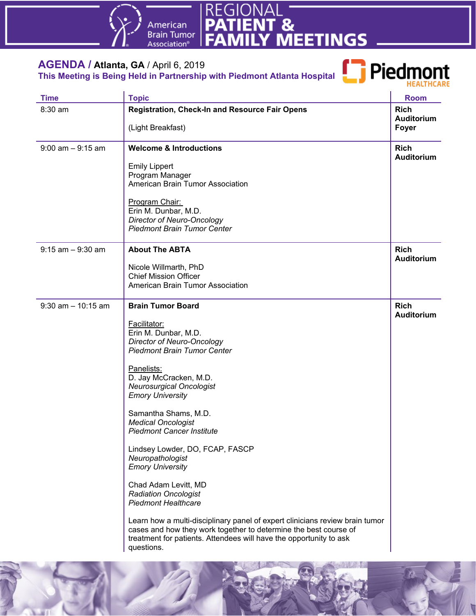



#### **AGENDA / Atlanta, GA** / April 6, 2019 **This Meeting is Being Held in Partnership with Piedmont Atlanta Hospital**



| <b>Time</b>           | <b>Topic</b>                                                                                                                                                                                                                         | <b>Room</b>                               |
|-----------------------|--------------------------------------------------------------------------------------------------------------------------------------------------------------------------------------------------------------------------------------|-------------------------------------------|
| 8:30 am               | <b>Registration, Check-In and Resource Fair Opens</b><br>(Light Breakfast)                                                                                                                                                           | <b>Rich</b><br><b>Auditorium</b><br>Foyer |
| $9:00$ am $-9:15$ am  | <b>Welcome &amp; Introductions</b>                                                                                                                                                                                                   | <b>Rich</b><br>Auditorium                 |
|                       | <b>Emily Lippert</b><br>Program Manager<br>American Brain Tumor Association                                                                                                                                                          |                                           |
|                       | Program Chair:<br>Erin M. Dunbar, M.D.<br><b>Director of Neuro-Oncology</b><br><b>Piedmont Brain Tumor Center</b>                                                                                                                    |                                           |
| $9:15$ am $-9:30$ am  | <b>About The ABTA</b>                                                                                                                                                                                                                | <b>Rich</b><br><b>Auditorium</b>          |
|                       | Nicole Willmarth, PhD<br><b>Chief Mission Officer</b><br>American Brain Tumor Association                                                                                                                                            |                                           |
| $9:30$ am $-10:15$ am | <b>Brain Tumor Board</b>                                                                                                                                                                                                             | <b>Rich</b><br><b>Auditorium</b>          |
|                       | Facilitator:<br>Erin M. Dunbar, M.D.<br><b>Director of Neuro-Oncology</b><br><b>Piedmont Brain Tumor Center</b>                                                                                                                      |                                           |
|                       | Panelists:<br>D. Jay McCracken, M.D.<br><b>Neurosurgical Oncologist</b><br><b>Emory University</b>                                                                                                                                   |                                           |
|                       | Samantha Shams, M.D.<br><b>Medical Oncologist</b><br><b>Piedmont Cancer Institute</b>                                                                                                                                                |                                           |
|                       | Lindsey Lowder, DO, FCAP, FASCP<br>Neuropathologist<br><b>Emory University</b>                                                                                                                                                       |                                           |
|                       | Chad Adam Levitt, MD<br><b>Radiation Oncologist</b><br><b>Piedmont Healthcare</b>                                                                                                                                                    |                                           |
|                       | Learn how a multi-disciplinary panel of expert clinicians review brain tumor<br>cases and how they work together to determine the best course of<br>treatment for patients. Attendees will have the opportunity to ask<br>questions. |                                           |

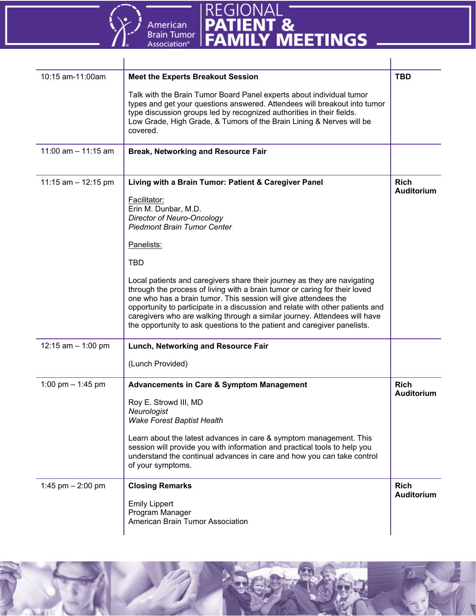



| 10:15 am-11:00am      | <b>Meet the Experts Breakout Session</b>                                                                                                                                                                                                                                                                                                                                                                                                                            | <b>TBD</b>                       |
|-----------------------|---------------------------------------------------------------------------------------------------------------------------------------------------------------------------------------------------------------------------------------------------------------------------------------------------------------------------------------------------------------------------------------------------------------------------------------------------------------------|----------------------------------|
|                       | Talk with the Brain Tumor Board Panel experts about individual tumor<br>types and get your questions answered. Attendees will breakout into tumor<br>type discussion groups led by recognized authorities in their fields.<br>Low Grade, High Grade, & Tumors of the Brain Lining & Nerves will be<br>covered.                                                                                                                                                      |                                  |
| 11:00 am $-$ 11:15 am | <b>Break, Networking and Resource Fair</b>                                                                                                                                                                                                                                                                                                                                                                                                                          |                                  |
| 11:15 am $-$ 12:15 pm | Living with a Brain Tumor: Patient & Caregiver Panel                                                                                                                                                                                                                                                                                                                                                                                                                | <b>Rich</b><br><b>Auditorium</b> |
|                       | Facilitator:                                                                                                                                                                                                                                                                                                                                                                                                                                                        |                                  |
|                       | Erin M. Dunbar, M.D.<br><b>Director of Neuro-Oncology</b>                                                                                                                                                                                                                                                                                                                                                                                                           |                                  |
|                       | <b>Piedmont Brain Tumor Center</b>                                                                                                                                                                                                                                                                                                                                                                                                                                  |                                  |
|                       | Panelists:                                                                                                                                                                                                                                                                                                                                                                                                                                                          |                                  |
|                       | <b>TBD</b>                                                                                                                                                                                                                                                                                                                                                                                                                                                          |                                  |
|                       | Local patients and caregivers share their journey as they are navigating<br>through the process of living with a brain tumor or caring for their loved<br>one who has a brain tumor. This session will give attendees the<br>opportunity to participate in a discussion and relate with other patients and<br>caregivers who are walking through a similar journey. Attendees will have<br>the opportunity to ask questions to the patient and caregiver panelists. |                                  |
| 12:15 am $-$ 1:00 pm  | Lunch, Networking and Resource Fair                                                                                                                                                                                                                                                                                                                                                                                                                                 |                                  |
|                       | (Lunch Provided)                                                                                                                                                                                                                                                                                                                                                                                                                                                    |                                  |
| 1:00 pm $-$ 1:45 pm   | <b>Advancements in Care &amp; Symptom Management</b>                                                                                                                                                                                                                                                                                                                                                                                                                | <b>Rich</b><br>Auditorium        |
|                       | Roy E. Strowd III, MD                                                                                                                                                                                                                                                                                                                                                                                                                                               |                                  |
|                       | Neurologist                                                                                                                                                                                                                                                                                                                                                                                                                                                         |                                  |
|                       | <b>Wake Forest Baptist Health</b>                                                                                                                                                                                                                                                                                                                                                                                                                                   |                                  |
|                       | Learn about the latest advances in care & symptom management. This<br>session will provide you with information and practical tools to help you<br>understand the continual advances in care and how you can take control<br>of your symptoms.                                                                                                                                                                                                                      |                                  |
| 1:45 pm $- 2:00$ pm   | <b>Closing Remarks</b>                                                                                                                                                                                                                                                                                                                                                                                                                                              | <b>Rich</b><br><b>Auditorium</b> |
|                       | <b>Emily Lippert</b>                                                                                                                                                                                                                                                                                                                                                                                                                                                |                                  |
|                       | Program Manager                                                                                                                                                                                                                                                                                                                                                                                                                                                     |                                  |
|                       | American Brain Tumor Association                                                                                                                                                                                                                                                                                                                                                                                                                                    |                                  |
|                       |                                                                                                                                                                                                                                                                                                                                                                                                                                                                     |                                  |

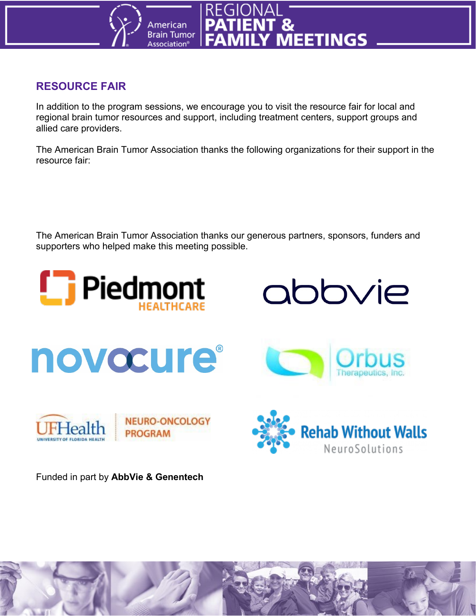

#### **RESOURCE FAIR**

In addition to the program sessions, we encourage you to visit the resource fair for local and regional brain tumor resources and support, including treatment centers, support groups and allied care providers.

The American Brain Tumor Association thanks the following organizations for their support in the resource fair:

The American Brain Tumor Association thanks our generous partners, sponsors, funders and supporters who helped make this meeting possible.



Funded in part by **AbbVie & Genentech**

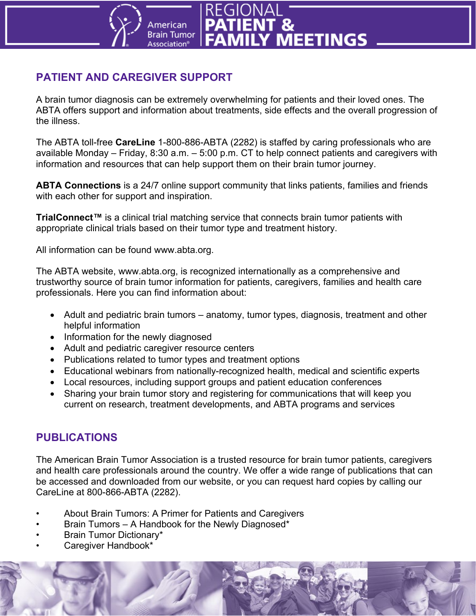

## **PATIENT AND CAREGIVER SUPPORT**

A brain tumor diagnosis can be extremely overwhelming for patients and their loved ones. The ABTA offers support and information about treatments, side effects and the overall progression of the illness.

The ABTA toll-free **CareLine** 1-800-886-ABTA (2282) is staffed by caring professionals who are available Monday – Friday, 8:30 a.m. – 5:00 p.m. CT to help connect patients and caregivers with information and resources that can help support them on their brain tumor journey.

**ABTA Connections** is a 24/7 online support community that links patients, families and friends with each other for support and inspiration.

**TrialConnect™** is a clinical trial matching service that connects brain tumor patients with appropriate clinical trials based on their tumor type and treatment history.

All information can be found www.abta.org.

The ABTA website, www.abta.org, is recognized internationally as a comprehensive and trustworthy source of brain tumor information for patients, caregivers, families and health care professionals. Here you can find information about:

- Adult and pediatric brain tumors anatomy, tumor types, diagnosis, treatment and other helpful information
- Information for the newly diagnosed
- Adult and pediatric caregiver resource centers
- Publications related to tumor types and treatment options
- Educational webinars from nationally-recognized health, medical and scientific experts
- Local resources, including support groups and patient education conferences
- Sharing your brain tumor story and registering for communications that will keep you current on research, treatment developments, and ABTA programs and services

#### **PUBLICATIONS**

The American Brain Tumor Association is a trusted resource for brain tumor patients, caregivers and health care professionals around the country. We offer a wide range of publications that can be accessed and downloaded from our website, or you can request hard copies by calling our CareLine at 800-866-ABTA (2282).

- About Brain Tumors: A Primer for Patients and Caregivers
- Brain Tumors A Handbook for the Newly Diagnosed\*
- Brain Tumor Dictionary\*
- Caregiver Handbook\*

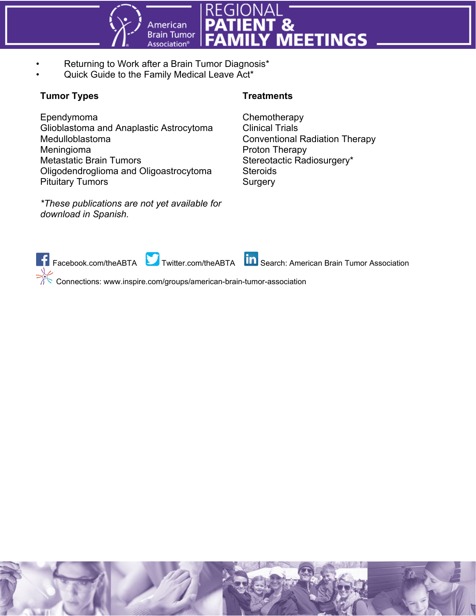

- Returning to Work after a Brain Tumor Diagnosis\*
- Quick Guide to the Family Medical Leave Act\*

#### **Tumor Types**

Ependymoma Glioblastoma and Anaplastic Astrocytoma Medulloblastoma Meningioma Metastatic Brain Tumors Oligodendroglioma and Oligoastrocytoma Pituitary Tumors

*\*These publications are not yet available for download in Spanish.*

#### **Treatments**

**Chemotherapy** Clinical Trials Conventional Radiation Therapy Proton Therapy Stereotactic Radiosurgery\* **Steroids Surgery** 



Connections: www.inspire.com/groups/american-brain-tumor-association